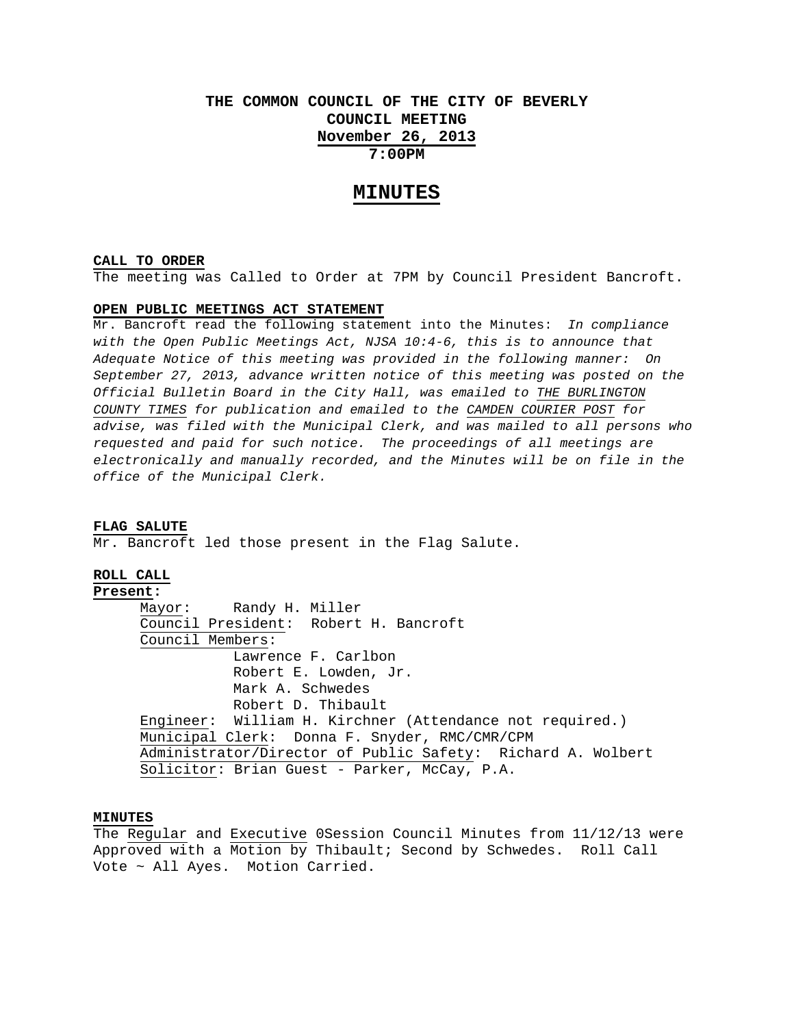# **THE COMMON COUNCIL OF THE CITY OF BEVERLY COUNCIL MEETING November 26, 2013 7:00PM**

# **MINUTES**

#### **CALL TO ORDER**

The meeting was Called to Order at 7PM by Council President Bancroft.

# **OPEN PUBLIC MEETINGS ACT STATEMENT**

Mr. Bancroft read the following statement into the Minutes: *In compliance with the Open Public Meetings Act, NJSA 10:4-6, this is to announce that Adequate Notice of this meeting was provided in the following manner: On September 27, 2013, advance written notice of this meeting was posted on the Official Bulletin Board in the City Hall, was emailed to THE BURLINGTON COUNTY TIMES for publication and emailed to the CAMDEN COURIER POST for advise, was filed with the Municipal Clerk, and was mailed to all persons who requested and paid for such notice. The proceedings of all meetings are electronically and manually recorded, and the Minutes will be on file in the office of the Municipal Clerk.* 

#### **FLAG SALUTE**

Mr. Bancroft led those present in the Flag Salute.

# **ROLL CALL**

# **Present:**

 Mayor: Randy H. Miller Council President: Robert H. Bancroft Council Members: Lawrence F. Carlbon Robert E. Lowden, Jr. Mark A. Schwedes Robert D. Thibault Engineer: William H. Kirchner (Attendance not required.) Municipal Clerk: Donna F. Snyder, RMC/CMR/CPM Administrator/Director of Public Safety: Richard A. Wolbert Solicitor: Brian Guest - Parker, McCay, P.A.

#### **MINUTES**

The Regular and Executive 0Session Council Minutes from 11/12/13 were Approved with a Motion by Thibault; Second by Schwedes. Roll Call Vote ~ All Ayes. Motion Carried.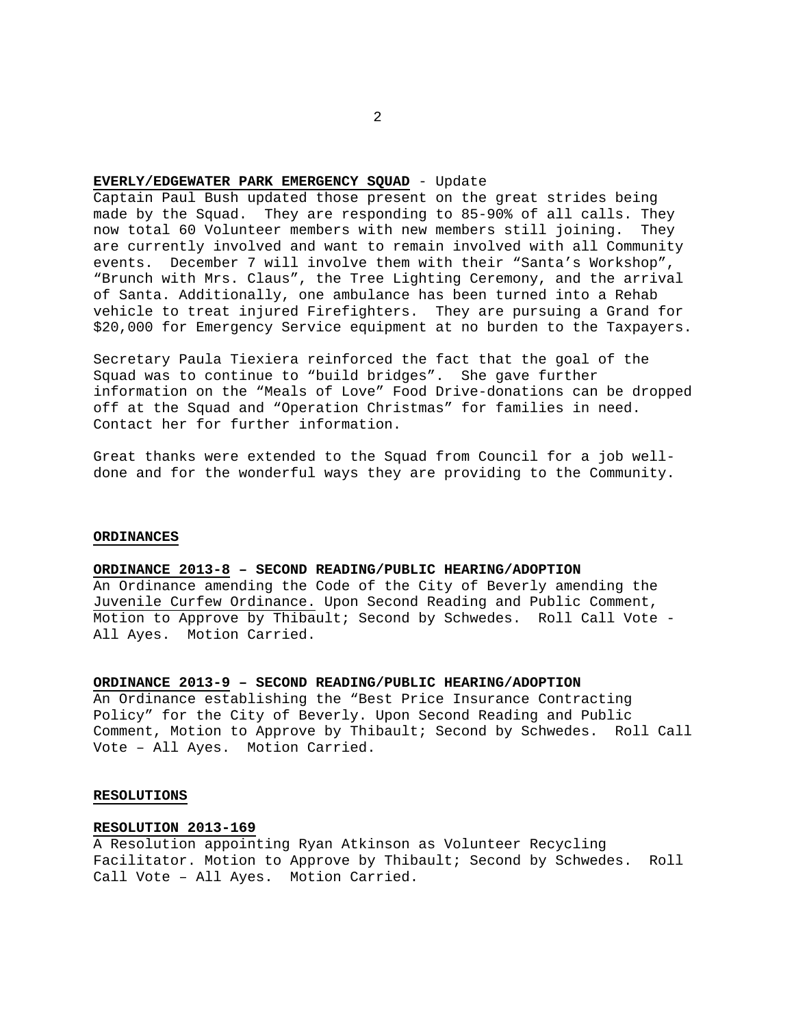#### **EVERLY/EDGEWATER PARK EMERGENCY SQUAD** - Update

Captain Paul Bush updated those present on the great strides being made by the Squad. They are responding to 85-90% of all calls. They now total 60 Volunteer members with new members still joining. They are currently involved and want to remain involved with all Community events. December 7 will involve them with their "Santa's Workshop", "Brunch with Mrs. Claus", the Tree Lighting Ceremony, and the arrival of Santa. Additionally, one ambulance has been turned into a Rehab vehicle to treat injured Firefighters. They are pursuing a Grand for \$20,000 for Emergency Service equipment at no burden to the Taxpayers.

Secretary Paula Tiexiera reinforced the fact that the goal of the Squad was to continue to "build bridges". She gave further information on the "Meals of Love" Food Drive-donations can be dropped off at the Squad and "Operation Christmas" for families in need. Contact her for further information.

Great thanks were extended to the Squad from Council for a job welldone and for the wonderful ways they are providing to the Community.

#### **ORDINANCES**

### **ORDINANCE 2013-8 – SECOND READING/PUBLIC HEARING/ADOPTION**

An Ordinance amending the Code of the City of Beverly amending the Juvenile Curfew Ordinance. Upon Second Reading and Public Comment, Motion to Approve by Thibault; Second by Schwedes. Roll Call Vote - All Ayes. Motion Carried.

#### **ORDINANCE 2013-9 – SECOND READING/PUBLIC HEARING/ADOPTION**

An Ordinance establishing the "Best Price Insurance Contracting Policy" for the City of Beverly. Upon Second Reading and Public Comment, Motion to Approve by Thibault; Second by Schwedes. Roll Call Vote – All Ayes. Motion Carried.

#### **RESOLUTIONS**

#### **RESOLUTION 2013-169**

A Resolution appointing Ryan Atkinson as Volunteer Recycling Facilitator. Motion to Approve by Thibault; Second by Schwedes. Roll Call Vote – All Ayes. Motion Carried.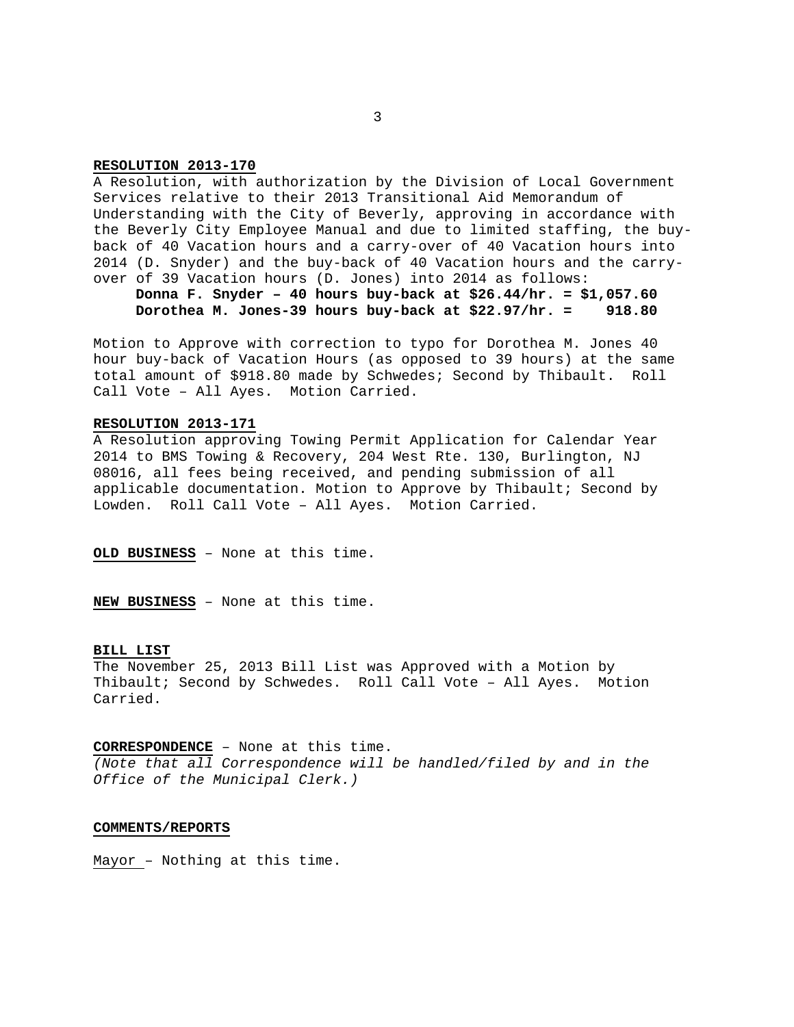#### **RESOLUTION 2013-170**

A Resolution, with authorization by the Division of Local Government Services relative to their 2013 Transitional Aid Memorandum of Understanding with the City of Beverly, approving in accordance with the Beverly City Employee Manual and due to limited staffing, the buyback of 40 Vacation hours and a carry-over of 40 Vacation hours into 2014 (D. Snyder) and the buy-back of 40 Vacation hours and the carryover of 39 Vacation hours (D. Jones) into 2014 as follows:

**Donna F. Snyder – 40 hours buy-back at \$26.44/hr. = \$1,057.60 Dorothea M. Jones-39 hours buy-back at \$22.97/hr. = 918.80** 

Motion to Approve with correction to typo for Dorothea M. Jones 40 hour buy-back of Vacation Hours (as opposed to 39 hours) at the same total amount of \$918.80 made by Schwedes; Second by Thibault. Roll Call Vote – All Ayes. Motion Carried.

#### **RESOLUTION 2013-171**

A Resolution approving Towing Permit Application for Calendar Year 2014 to BMS Towing & Recovery, 204 West Rte. 130, Burlington, NJ 08016, all fees being received, and pending submission of all applicable documentation. Motion to Approve by Thibault; Second by Lowden. Roll Call Vote – All Ayes. Motion Carried.

**OLD BUSINESS** – None at this time.

**NEW BUSINESS** – None at this time.

### **BILL LIST**

The November 25, 2013 Bill List was Approved with a Motion by Thibault; Second by Schwedes. Roll Call Vote – All Ayes. Motion Carried.

**CORRESPONDENCE** – None at this time.

*(Note that all Correspondence will be handled/filed by and in the Office of the Municipal Clerk.)* 

### **COMMENTS/REPORTS**

Mayor – Nothing at this time.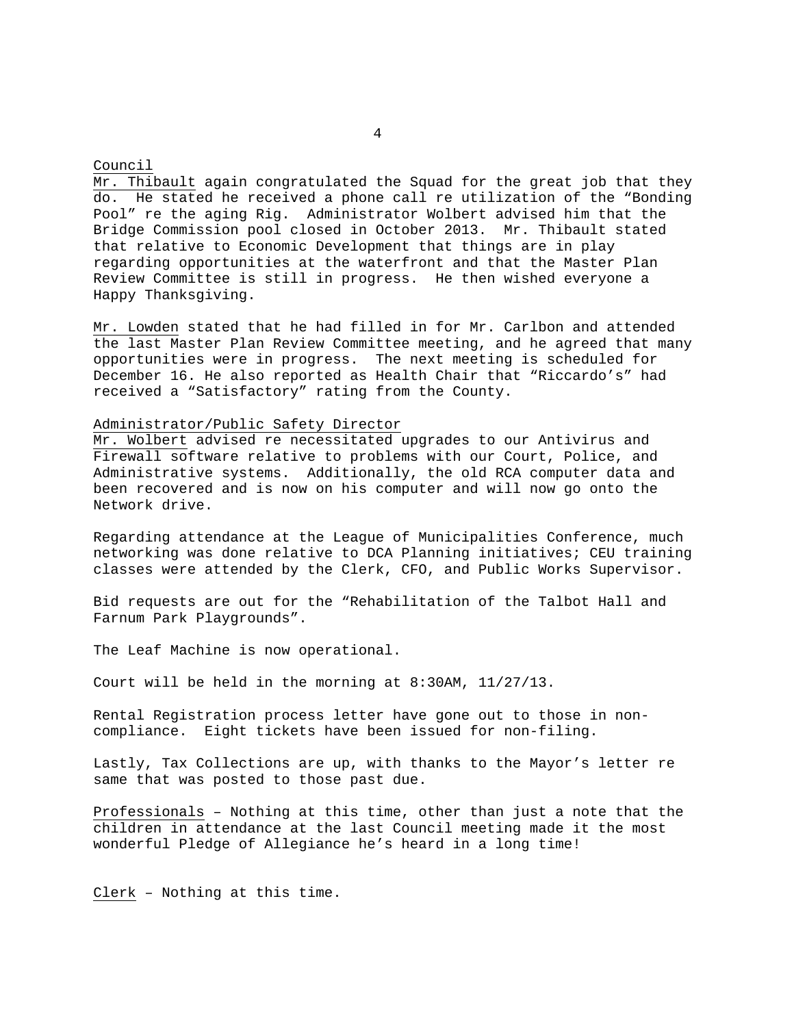#### Council

Mr. Thibault again congratulated the Squad for the great job that they do. He stated he received a phone call re utilization of the "Bonding Pool" re the aging Rig. Administrator Wolbert advised him that the Bridge Commission pool closed in October 2013. Mr. Thibault stated that relative to Economic Development that things are in play regarding opportunities at the waterfront and that the Master Plan Review Committee is still in progress. He then wished everyone a Happy Thanksgiving.

Mr. Lowden stated that he had filled in for Mr. Carlbon and attended the last Master Plan Review Committee meeting, and he agreed that many opportunities were in progress. The next meeting is scheduled for December 16. He also reported as Health Chair that "Riccardo's" had received a "Satisfactory" rating from the County.

# Administrator/Public Safety Director

Mr. Wolbert advised re necessitated upgrades to our Antivirus and Firewall software relative to problems with our Court, Police, and Administrative systems. Additionally, the old RCA computer data and been recovered and is now on his computer and will now go onto the Network drive.

Regarding attendance at the League of Municipalities Conference, much networking was done relative to DCA Planning initiatives; CEU training classes were attended by the Clerk, CFO, and Public Works Supervisor.

Bid requests are out for the "Rehabilitation of the Talbot Hall and Farnum Park Playgrounds".

The Leaf Machine is now operational.

Court will be held in the morning at 8:30AM, 11/27/13.

Rental Registration process letter have gone out to those in noncompliance. Eight tickets have been issued for non-filing.

Lastly, Tax Collections are up, with thanks to the Mayor's letter re same that was posted to those past due.

Professionals – Nothing at this time, other than just a note that the children in attendance at the last Council meeting made it the most wonderful Pledge of Allegiance he's heard in a long time!

Clerk – Nothing at this time.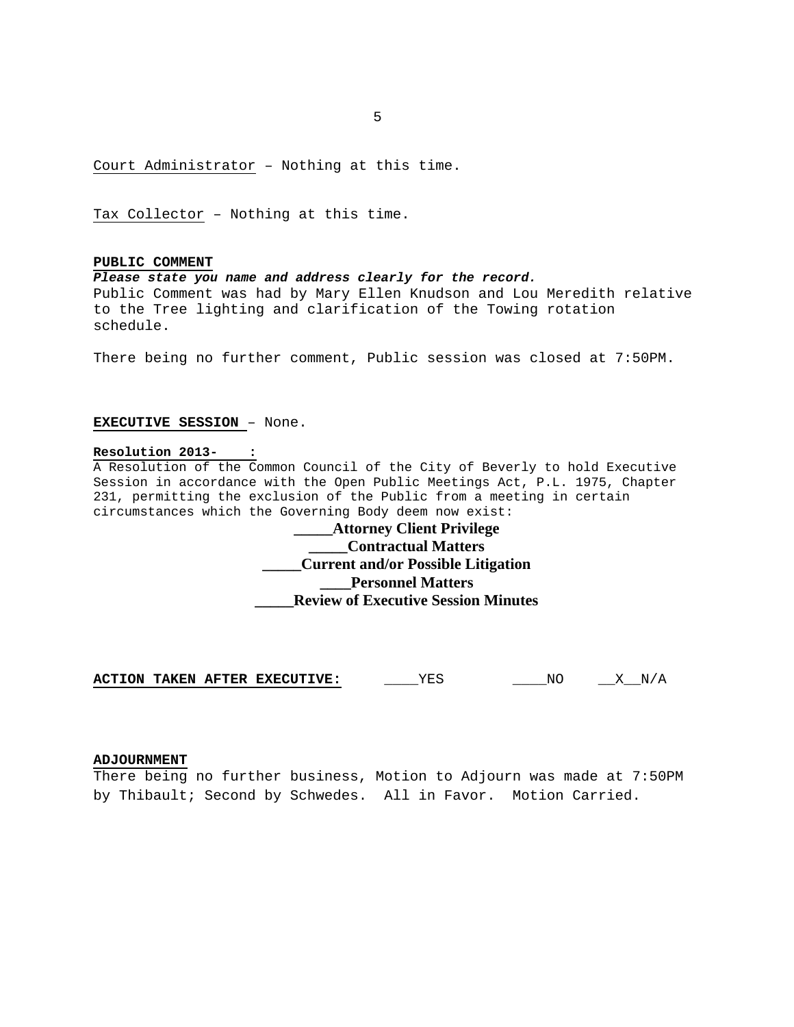$\sim$  5  $\sim$  5  $\sim$  5  $\sim$  5  $\sim$  5  $\sim$  5  $\sim$  5  $\sim$  5  $\sim$  5  $\sim$  5  $\sim$  5  $\sim$  5  $\sim$  5  $\sim$  5  $\sim$  5  $\sim$  5  $\sim$  5  $\sim$  5  $\sim$  5  $\sim$  5  $\sim$  5  $\sim$  5  $\sim$  5  $\sim$  5  $\sim$  5  $\sim$  5  $\sim$  5  $\sim$  5  $\sim$  5  $\sim$  5  $\sim$  5  $\sim$ 

Court Administrator – Nothing at this time.

Tax Collector – Nothing at this time.

# **PUBLIC COMMENT**

*Please state you name and address clearly for the record.* 

Public Comment was had by Mary Ellen Knudson and Lou Meredith relative to the Tree lighting and clarification of the Towing rotation schedule.

There being no further comment, Public session was closed at 7:50PM.

# **EXECUTIVE SESSION** – None.

#### **Resolution 2013- :**

A Resolution of the Common Council of the City of Beverly to hold Executive Session in accordance with the Open Public Meetings Act, P.L. 1975, Chapter 231, permitting the exclusion of the Public from a meeting in certain circumstances which the Governing Body deem now exist:

# **\_\_\_\_\_Attorney Client Privilege \_\_\_\_\_Contractual Matters \_\_\_\_\_Current and/or Possible Litigation \_\_\_\_Personnel Matters \_\_\_\_\_Review of Executive Session Minutes**

**ACTION TAKEN AFTER EXECUTIVE:** YES NO X N/A

## **ADJOURNMENT**

There being no further business, Motion to Adjourn was made at 7:50PM by Thibault; Second by Schwedes. All in Favor. Motion Carried.